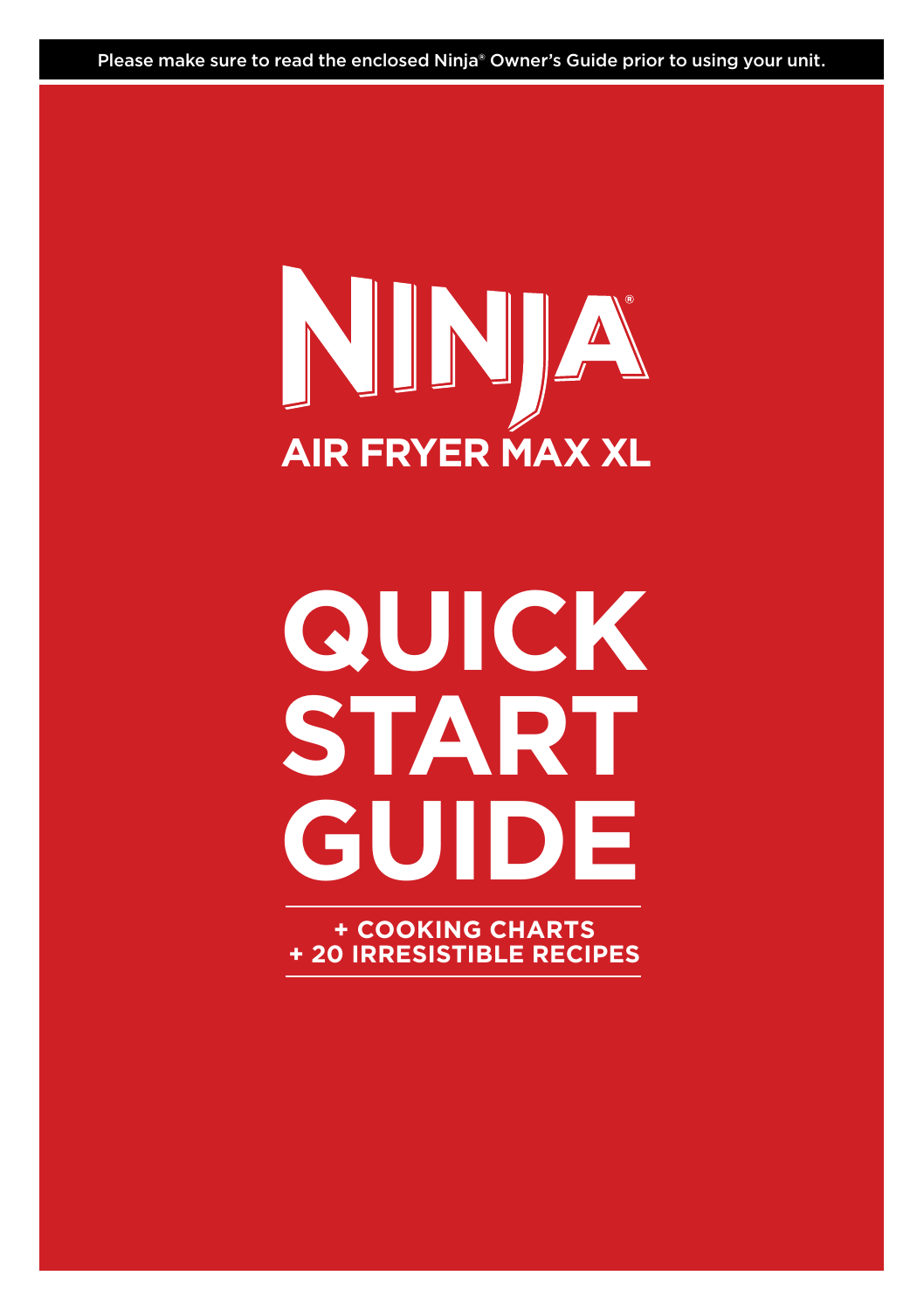Please make sure to read the enclosed Ninja® Owner's Guide prior to using your unit.

## NINJA **AIR FRYER MAX XL**

# **QUICK START GUIDE**

**+ COOKING CHARTS + 20 IRRESISTIBLE RECIPES**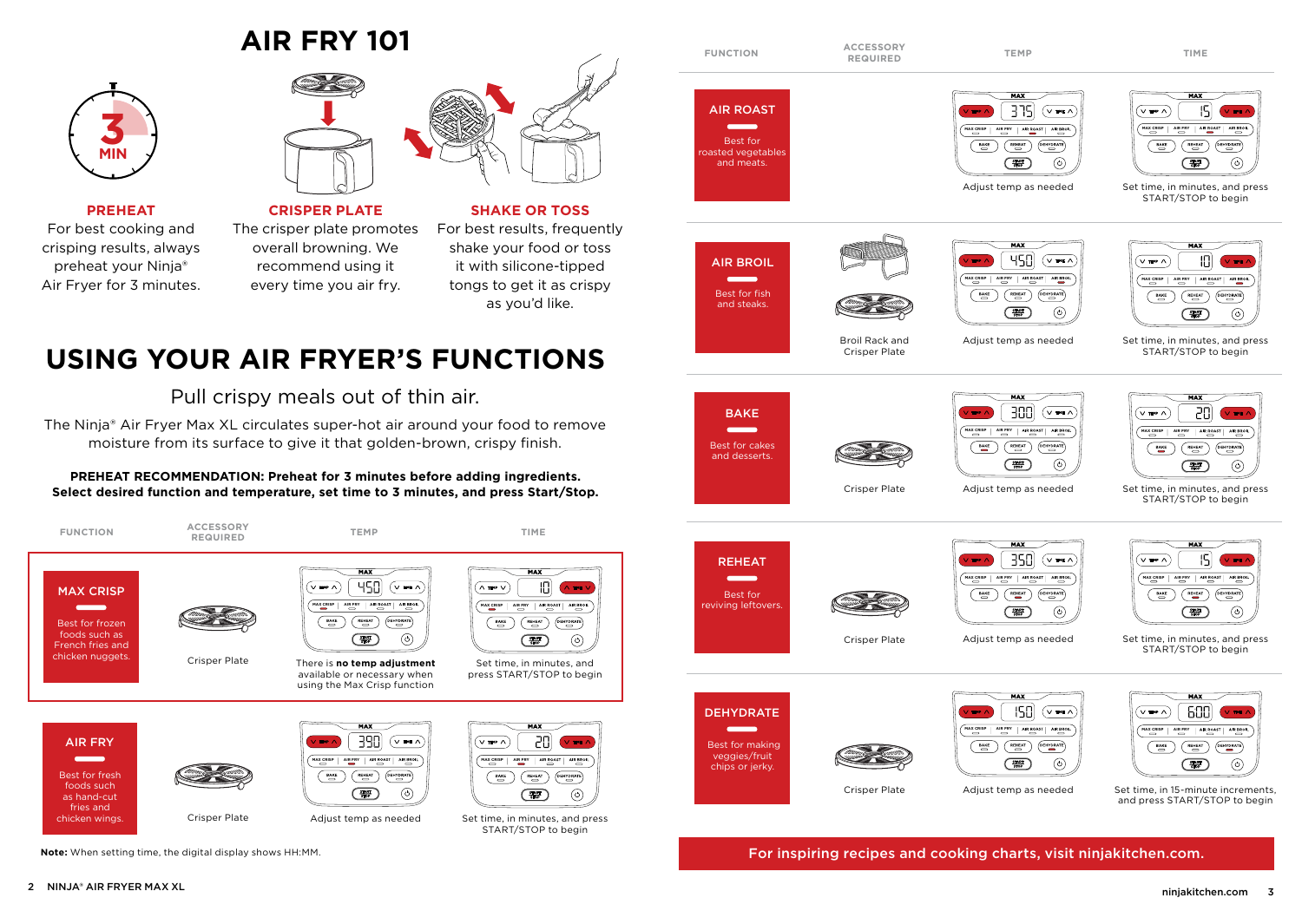### **AIR FRY 101**



**PREHEAT**

For best cooking and crisping results, always preheat your Ninja® Air Fryer for 3 minutes.



**CRISPER PLATE** The crisper plate promotes overall browning. We recommend using it every time you air fry.



**SHAKE OR TOSS**

For best results, frequently shake your food or toss it with silicone-tipped tongs to get it as crispy as you'd like.

### USING YOUR AIR FRYER'S FUNCTIONS

Pull crispy meals out of thin air.

The Ninja® Air Fryer Max XL circulates super-hot air around your food to remove moisture from its surface to give it that golden-brown, crispy finish.

#### **PREHEAT RECOMMENDATION: Preheat for 3 minutes before adding ingredients. Select desired function and temperature, set time to 3 minutes, and press Start/Stop.**



**Note:** When setting time, the digital display shows HH:MM.



For inspiring recipes and cooking charts, visit ninjakitchen.com.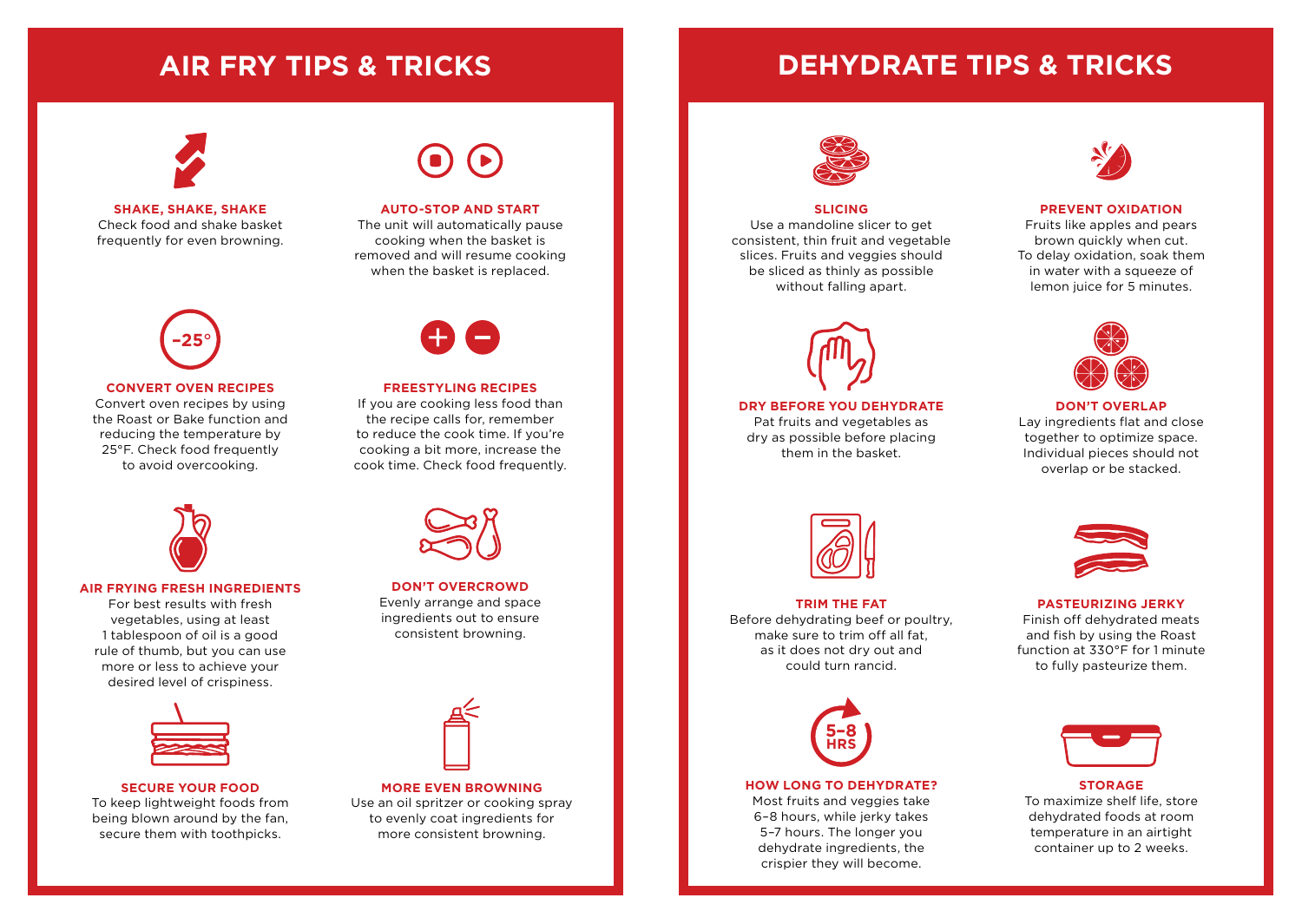### **AIR FRY TIPS & TRICKS DEHYDRATE TIPS & TRICKS**



**SHAKE, SHAKE, SHAKE** Check food and shake basket frequently for even browning.



#### **CONVERT OVEN RECIPES**

Convert oven recipes by using the Roast or Bake function and reducing the temperature by 25°F. Check food frequently to avoid overcooking.



#### **AIR FRYING FRESH INGREDIENTS**

For best results with fresh vegetables, using at least 1 tablespoon of oil is a good rule of thumb, but you can use more or less to achieve your desired level of crispiness.



#### **SECURE YOUR FOOD**

To keep lightweight foods from being blown around by the fan, secure them with toothpicks.



#### **AUTO-STOP AND START**

The unit will automatically pause cooking when the basket is removed and will resume cooking when the basket is replaced.



#### **FREESTYLING RECIPES**

If you are cooking less food than the recipe calls for, remember to reduce the cook time. If you're cooking a bit more, increase the cook time. Check food frequently.



**DON'T OVERCROWD** Evenly arrange and space ingredients out to ensure consistent browning.



#### **MORE EVEN BROWNING**

Use an oil spritzer or cooking spray to evenly coat ingredients for more consistent browning.



#### **SLICING**

Use a mandoline slicer to get consistent, thin fruit and vegetable slices. Fruits and veggies should be sliced as thinly as possible without falling apart.



**DRY BEFORE YOU DEHYDRATE** Pat fruits and vegetables as dry as possible before placing them in the basket.



#### **TRIM THE FAT** Before dehydrating beef or poultry, make sure to trim off all fat, as it does not dry out and could turn rancid.



#### **HOW LONG TO DEHYDRATE?**

Most fruits and veggies take 6–8 hours, while jerky takes 5–7 hours. The longer you dehydrate ingredients, the crispier they will become.



#### **PREVENT OXIDATION**

Fruits like apples and pears brown quickly when cut. To delay oxidation, soak them in water with a squeeze of lemon juice for 5 minutes.



**DON'T OVERLAP** Lay ingredients flat and close together to optimize space. Individual pieces should not overlap or be stacked.



#### **PASTEURIZING JERKY**

Finish off dehydrated meats and fish by using the Roast function at 330°F for 1 minute to fully pasteurize them.



#### **STORAGE** To maximize shelf life, store dehydrated foods at room temperature in an airtight container up to 2 weeks.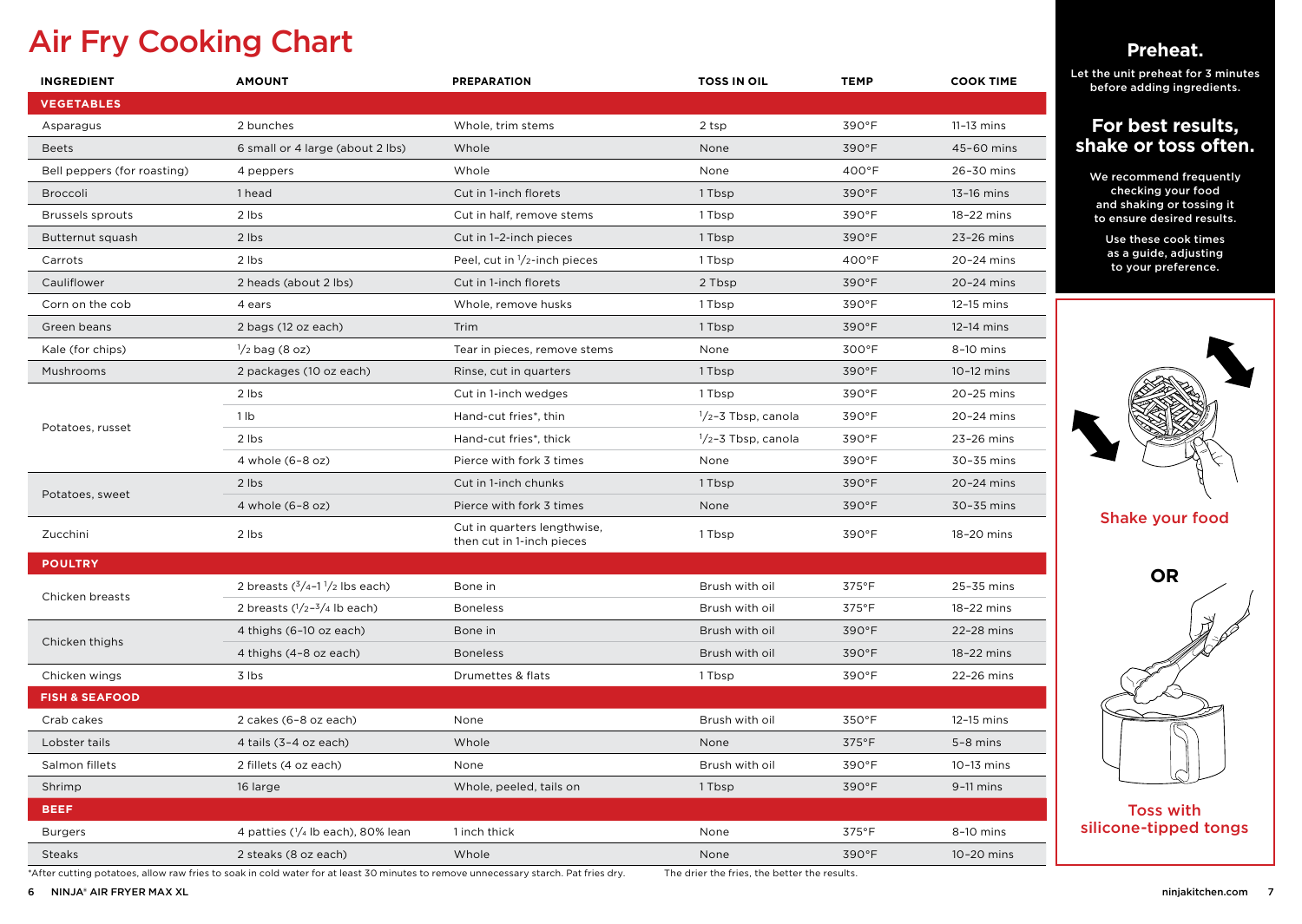### Air Fry Cooking Chart

| <b>INGREDIENT</b>           | <b>AMOUNT</b>                     | <b>PREPARATION</b>                                       | <b>TOSS IN OIL</b>            | <b>TEMP</b>     | <b>COOK TIME</b> |
|-----------------------------|-----------------------------------|----------------------------------------------------------|-------------------------------|-----------------|------------------|
| <b>VEGETABLES</b>           |                                   |                                                          |                               |                 |                  |
| Asparagus                   | 2 bunches                         | Whole, trim stems                                        | 2 tsp                         | 390°F           | 11-13 mins       |
| <b>Beets</b>                | 6 small or 4 large (about 2 lbs)  | Whole                                                    | None                          | 390°F           | 45-60 mins       |
| Bell peppers (for roasting) | 4 peppers                         | Whole                                                    | None                          | $400^{\circ}$ F | 26-30 mins       |
| Broccoli                    | 1 head                            | Cut in 1-inch florets                                    | 1 Tbsp                        | 390°F           | 13-16 mins       |
| <b>Brussels sprouts</b>     | 2 lbs                             | Cut in half, remove stems                                | 1 Tbsp                        | 390°F           | 18-22 mins       |
| Butternut squash            | 2 lbs                             | Cut in 1-2-inch pieces                                   | 1 Tbsp                        | 390°F           | 23-26 mins       |
| Carrots                     | 2 lbs                             | Peel, cut in $1/2$ -inch pieces                          | 1 Tbsp                        | 400°F           | 20-24 mins       |
| Cauliflower                 | 2 heads (about 2 lbs)             | Cut in 1-inch florets                                    | 2 Tbsp                        | 390°F           | 20-24 mins       |
| Corn on the cob             | 4 ears                            | Whole, remove husks                                      | 1 Tbsp                        | 390°F           | 12-15 mins       |
| Green beans                 | 2 bags (12 oz each)               | Trim                                                     | 1 Tbsp                        | 390°F           | 12-14 mins       |
| Kale (for chips)            | $\frac{1}{2}$ bag (8 oz)          | Tear in pieces, remove stems                             | None                          | 300°F           | 8-10 mins        |
| Mushrooms                   | 2 packages (10 oz each)           | Rinse, cut in quarters                                   | 1 Tbsp                        | 390°F           | 10-12 mins       |
|                             | 2 lbs                             | Cut in 1-inch wedges                                     | 1 Tbsp                        | 390°F           | 20-25 mins       |
|                             | 1 lb                              | Hand-cut fries*, thin                                    | $\frac{1}{2}$ -3 Tbsp, canola | 390°F           | 20-24 mins       |
| Potatoes, russet            | 2 lbs                             | Hand-cut fries*, thick                                   | $\frac{1}{2}$ -3 Tbsp, canola | 390°F           | 23-26 mins       |
|                             | 4 whole (6-8 oz)                  | Pierce with fork 3 times                                 | None                          | 390°F           | 30-35 mins       |
| Potatoes, sweet             | 2 lbs                             | Cut in 1-inch chunks                                     | 1 Tbsp                        | 390°F           | 20-24 mins       |
|                             | 4 whole (6-8 oz)                  | Pierce with fork 3 times                                 | None                          | 390°F           | 30-35 mins       |
| Zucchini                    | 2 lbs                             | Cut in quarters lengthwise,<br>then cut in 1-inch pieces | 1 Tbsp                        | 390°F           | 18-20 mins       |
| <b>POULTRY</b>              |                                   |                                                          |                               |                 |                  |
| Chicken breasts             | 2 breasts $(3/4 - 1)/2$ lbs each) | Bone in                                                  | Brush with oil                | 375°F           | 25-35 mins       |
|                             | 2 breasts $(1/2-3/4)$ lb each)    | <b>Boneless</b>                                          | Brush with oil                | 375°F           | 18-22 mins       |
| Chicken thighs              | 4 thighs (6-10 oz each)           | Bone in                                                  | Brush with oil                | 390°F           | 22-28 mins       |
|                             | 4 thighs (4-8 oz each)            | <b>Boneless</b>                                          | Brush with oil                | 390°F           | 18-22 mins       |
| Chicken wings               | 3 lbs                             | Drumettes & flats                                        | 1 Tbsp                        | 390°F           | 22-26 mins       |
| <b>FISH &amp; SEAFOOD</b>   |                                   |                                                          |                               |                 |                  |
| Crab cakes                  | 2 cakes (6-8 oz each)             | None                                                     | Brush with oil                | 350°F           | 12-15 mins       |
| Lobster tails               | 4 tails (3-4 oz each)             | Whole                                                    | None                          | $375^{\circ}$ F | $5-8$ mins       |
| Salmon fillets              | 2 fillets (4 oz each)             | None                                                     | Brush with oil                | 390°F           | $10-13$ mins     |
| Shrimp                      | 16 large                          | Whole, peeled, tails on                                  | 1 Tbsp                        | 390°F           | $9-11$ mins      |
| <b>BEEF</b>                 |                                   |                                                          |                               |                 |                  |
| <b>Burgers</b>              | 4 patties (1/4 lb each), 80% lean | 1 inch thick                                             | None                          | 375°F           | 8-10 mins        |
| <b>Steaks</b>               | 2 steaks (8 oz each)              | Whole                                                    | None                          | 390°F           | 10-20 mins       |

**Preheat.**

Let the unit preheat for 3 minutes before adding ingredients.

#### **For best results, shake or toss often.**

We recommend frequently checking your food and shaking or tossing it to ensure desired results.

> Use these cook times as a guide, adjusting to your preference.



Shake your food



\*After cutting potatoes, allow raw fries to soak in cold water for at least 30 minutes to remove unnecessary starch. Pat fries dry. The drier the fries, the better the results.

6 NINJA® AIR FRYER MAX XL ninjakitchen.com 7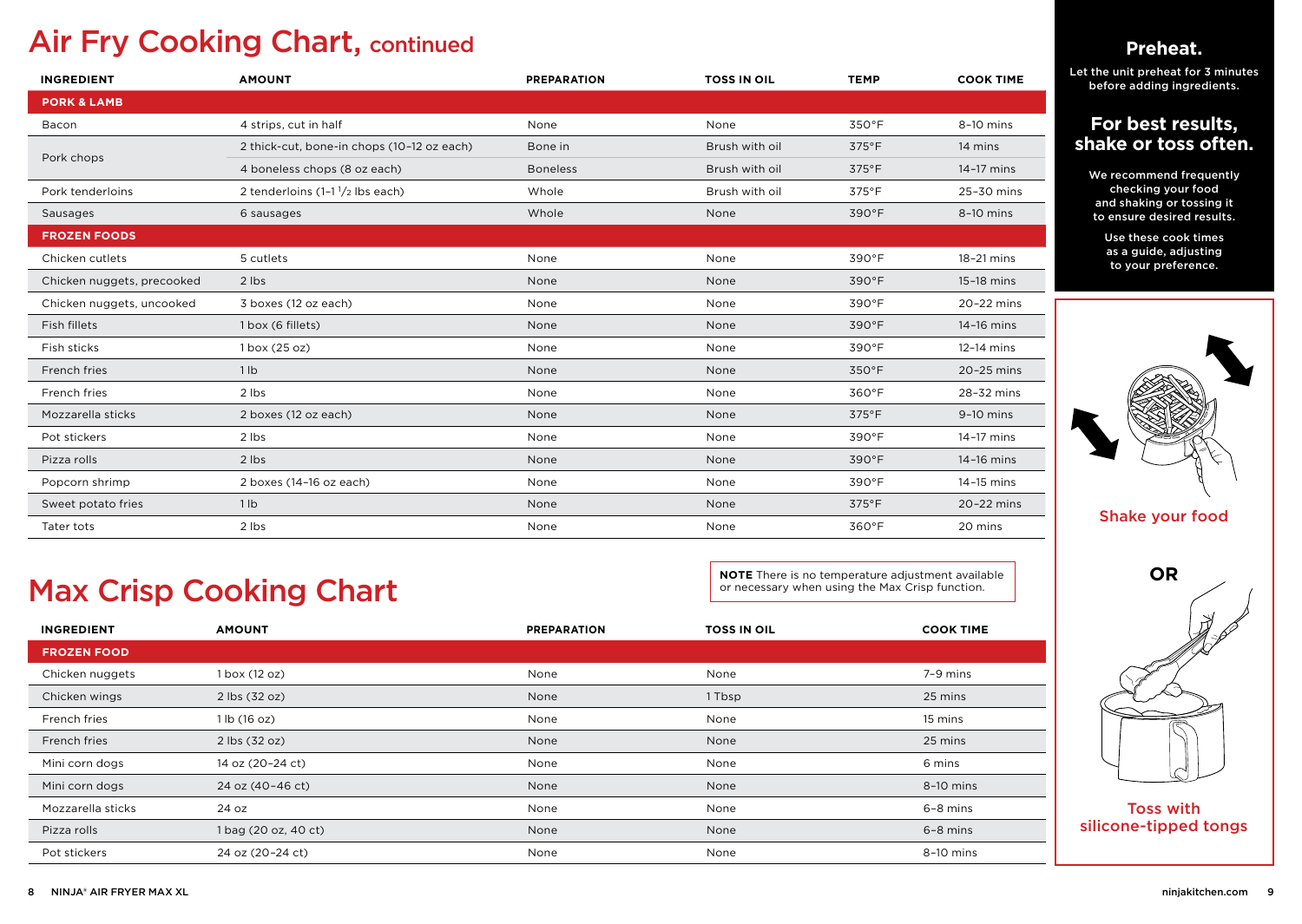### Air Fry Cooking Chart, continued

| <b>INGREDIENT</b>          | <b>AMOUNT</b>                              | <b>PREPARATION</b>                | <b>TOSS IN OIL</b> | <b>TEMP</b> | <b>COOK TIME</b> |
|----------------------------|--------------------------------------------|-----------------------------------|--------------------|-------------|------------------|
| <b>PORK &amp; LAMB</b>     |                                            |                                   |                    |             |                  |
| Bacon                      | 4 strips, cut in half                      | None                              | None               | 350°F       | 8-10 mins        |
|                            | 2 thick-cut, bone-in chops (10-12 oz each) | Bone in                           | Brush with oil     | 375°F       | 14 mins          |
| Pork chops                 | 4 boneless chops (8 oz each)               | <b>Boneless</b><br>Brush with oil |                    | 375°F       | 14-17 mins       |
| Pork tenderloins           | 2 tenderloins (1-11/2 lbs each)            | Whole                             | Brush with oil     | 375°F       | 25-30 mins       |
| Sausages                   | 6 sausages                                 | Whole                             | None               | 390°F       | $8-10$ mins      |
| <b>FROZEN FOODS</b>        |                                            |                                   |                    |             |                  |
| Chicken cutlets            | 5 cutlets                                  | None                              | None               | 390°F       | 18-21 mins       |
| Chicken nuggets, precooked | 2 lbs                                      | None                              | None               | 390°F       | 15-18 mins       |
| Chicken nuggets, uncooked  | 3 boxes (12 oz each)                       | None                              | None               | 390°F       | 20-22 mins       |
| Fish fillets               | 1 box (6 fillets)                          | None                              | None               | 390°F       | 14-16 mins       |
| Fish sticks                | 1 box (25 oz)                              | None                              | None               | 390°F       | 12-14 mins       |
| French fries               | 1 lb                                       | None                              | None               | 350°F       | 20-25 mins       |
| French fries               | 2 lbs                                      | None                              | None               | 360°F       | 28-32 mins       |
| Mozzarella sticks          | 2 boxes (12 oz each)                       | None                              | None               | 375°F       | $9-10$ mins      |
| Pot stickers               | 2 lbs                                      | None                              | None               | 390°F       | 14-17 mins       |
| Pizza rolls                | 2 lbs                                      | None                              | None               | 390°F       | 14-16 mins       |
| Popcorn shrimp             | 2 boxes (14-16 oz each)                    | None                              | None               | 390°F       | 14-15 mins       |
| Sweet potato fries         | 1 lb                                       | None                              | None               | 375°F       | 20-22 mins       |
| Tater tots                 | 2 lbs                                      | None                              | None               | 360°F       | 20 mins          |

### Max Crisp Cooking Chart

**NOTE** There is no temperature adjustment available or necessary when using the Max Crisp function.

| <b>INGREDIENT</b>  | <b>AMOUNT</b>        | <b>PREPARATION</b> | <b>TOSS IN OIL</b> | <b>COOK TIME</b> |
|--------------------|----------------------|--------------------|--------------------|------------------|
| <b>FROZEN FOOD</b> |                      |                    |                    |                  |
| Chicken nuggets    | $1$ box $(12$ oz)    | None               | None               | 7-9 mins         |
| Chicken wings      | 2 lbs (32 oz)        | None               | 1 Tbsp             | 25 mins          |
| French fries       | 1 lb(16 oz)          | None               | None               | 15 mins          |
| French fries       | 2 lbs (32 oz)        | None               | None               | 25 mins          |
| Mini corn dogs     | 14 oz (20-24 ct)     | None               | None               | 6 mins           |
| Mini corn dogs     | 24 oz (40-46 ct)     | None               | None               | 8-10 mins        |
| Mozzarella sticks  | 24 oz                | None               | None               | $6 - 8$ mins     |
| Pizza rolls        | 1 bag (20 oz, 40 ct) | None               | None               | $6 - 8$ mins     |
| Pot stickers       | 24 oz (20-24 ct)     | None               | None               | 8-10 mins        |

### **Preheat.**

Let the unit preheat for 3 minutes before adding ingredients.

### **For best results, shake or toss often.**

We recommend frequently checking your food and shaking or tossing it to ensure desired results.

> Use these cook times as a guide, adjusting to your preference.



Shake your food



silicone-tipped tongs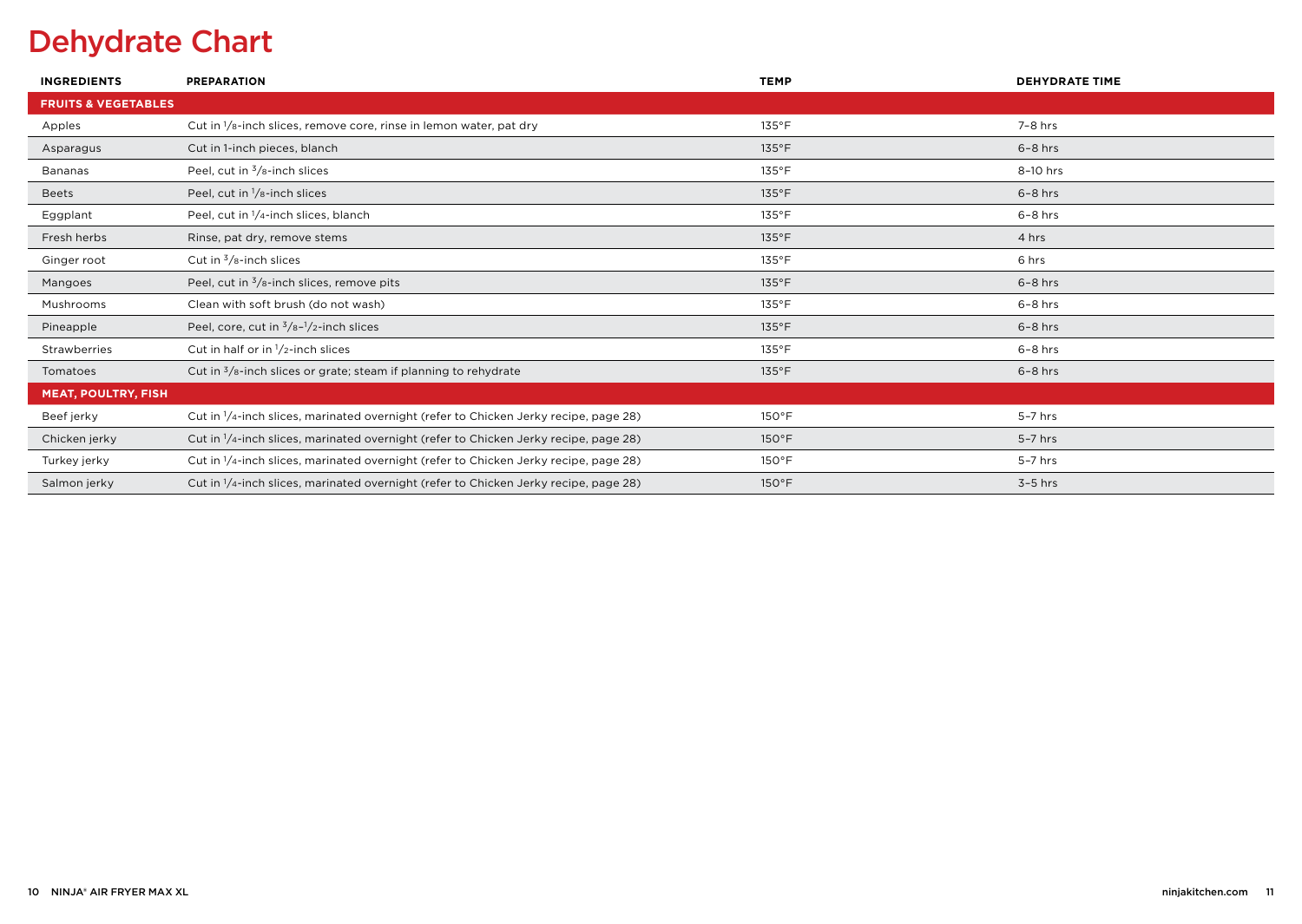### Dehydrate Chart

| <b>INGREDIENTS</b>             | <b>PREPARATION</b>                                                                               | <b>TEMP</b>     | <b>DEHYDRATE TIME</b> |
|--------------------------------|--------------------------------------------------------------------------------------------------|-----------------|-----------------------|
| <b>FRUITS &amp; VEGETABLES</b> |                                                                                                  |                 |                       |
| Apples                         | Cut in $\frac{1}{s}$ -inch slices, remove core, rinse in lemon water, pat dry                    | $135^{\circ}$ F | 7-8 hrs               |
| Asparagus                      | Cut in 1-inch pieces, blanch                                                                     | $135^{\circ}$ F | $6-8$ hrs             |
| Bananas                        | Peel, cut in $\frac{3}{8}$ -inch slices                                                          | $135^{\circ}$ F | 8-10 hrs              |
| <b>Beets</b>                   | Peel, cut in $\frac{1}{8}$ -inch slices                                                          | $135^{\circ}$ F | $6-8$ hrs             |
| Eggplant                       | Peel, cut in 1/4-inch slices, blanch                                                             | $135^{\circ}$ F | $6-8$ hrs             |
| Fresh herbs                    | Rinse, pat dry, remove stems                                                                     | $135^{\circ}$ F | 4 hrs                 |
| Ginger root                    | Cut in $\frac{3}{8}$ -inch slices                                                                | $135^{\circ}$ F | 6 hrs                 |
| Mangoes                        | Peel, cut in $\frac{3}{8}$ -inch slices, remove pits                                             | $135^{\circ}$ F | $6-8$ hrs             |
| Mushrooms                      | Clean with soft brush (do not wash)                                                              | $135^{\circ}$ F | $6-8$ hrs             |
| Pineapple                      | Peel, core, cut in $\frac{3}{8}$ - $\frac{1}{2}$ -inch slices                                    | $135^{\circ}$ F | $6-8$ hrs             |
| Strawberries                   | Cut in half or in $1/2$ -inch slices                                                             | $135^{\circ}$ F | $6 - 8$ hrs           |
| Tomatoes                       | Cut in $\frac{3}{8}$ -inch slices or grate; steam if planning to rehydrate                       | $135^{\circ}$ F | $6-8$ hrs             |
| <b>MEAT, POULTRY, FISH</b>     |                                                                                                  |                 |                       |
| Beef jerky                     | Cut in 1/4-inch slices, marinated overnight (refer to Chicken Jerky recipe, page 28)             | $150^{\circ}$ F | 5-7 hrs               |
| Chicken jerky                  | Cut in 1/4-inch slices, marinated overnight (refer to Chicken Jerky recipe, page 28)             | $150^{\circ}$ F | $5-7$ hrs             |
| Turkey jerky                   | Cut in <sup>1</sup> /4-inch slices, marinated overnight (refer to Chicken Jerky recipe, page 28) | $150^{\circ}$ F | 5-7 hrs               |
| Salmon jerky                   | Cut in 1/4-inch slices, marinated overnight (refer to Chicken Jerky recipe, page 28)             | $150^{\circ}$ F | $3-5$ hrs             |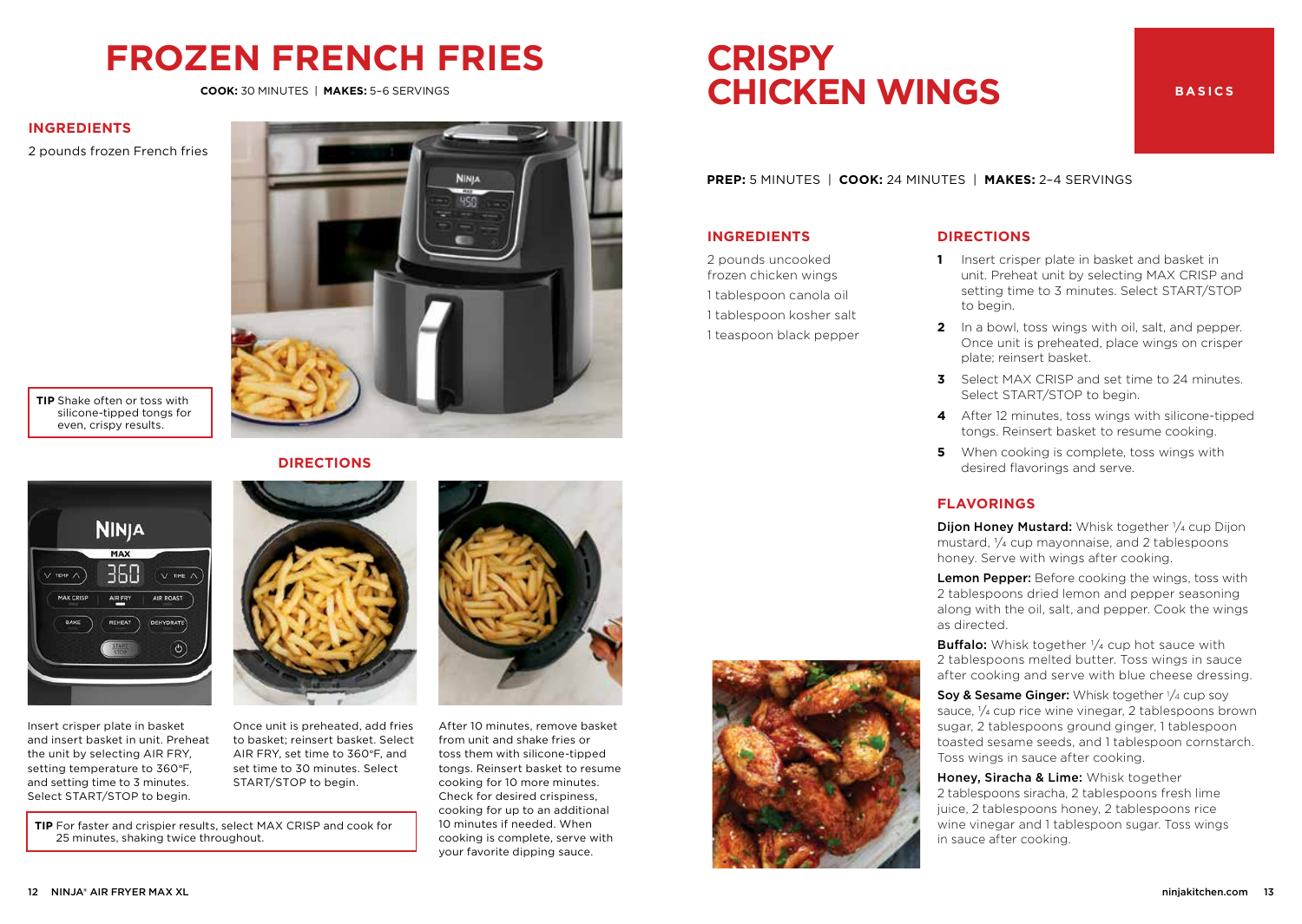### **FROZEN FRENCH FRIES**

**COOK:** 30 MINUTES | **MAKES:** 5–6 SERVINGS

#### **INGREDIENTS**

2 pounds frozen French fries



**TIP** Shake often or toss with silicone-tipped tongs for even, crispy results.

#### **DIRECTIONS**



Insert crisper plate in basket and insert basket in unit. Preheat the unit by selecting AIR FRY, setting temperature to 360°F, and setting time to 3 minutes. Select START/STOP to begin.

Once unit is preheated, add fries

to basket; reinsert basket. Select AIR FRY, set time to 360°F, and set time to 30 minutes. Select START/STOP to begin.

**TIP** For faster and crispier results, select MAX CRISP and cook for 25 minutes, shaking twice throughout.



After 10 minutes, remove basket

from unit and shake fries or toss them with silicone-tipped tongs. Reinsert basket to resume cooking for 10 more minutes. Check for desired crispiness, cooking for up to an additional 10 minutes if needed. When cooking is complete, serve with your favorite dipping sauce.

### **CRISPY CHICKEN WINGS**

#### **BASICS**

**PREP:** 5 MINUTES | **COOK:** 24 MINUTES | **MAKES:** 2–4 SERVINGS

#### **INGREDIENTS**

2 pounds uncooked frozen chicken wings 1 tablespoon canola oil 1 tablespoon kosher salt 1 teaspoon black pepper

#### **DIRECTIONS**

- **1** Insert crisper plate in basket and basket in unit. Preheat unit by selecting MAX CRISP and setting time to 3 minutes. Select START/STOP to begin.
- **2** In a bowl, toss wings with oil, salt, and pepper. Once unit is preheated, place wings on crisper plate; reinsert basket.
- **3** Select MAX CRISP and set time to 24 minutes. Select START/STOP to begin.
- **4** After 12 minutes, toss wings with silicone-tipped tongs. Reinsert basket to resume cooking.
- **5** When cooking is complete, toss wings with desired flavorings and serve.

#### **FLAVORINGS**

Dijon Honey Mustard: Whisk together 1/4 cup Dijon mustard, 1/4 cup mayonnaise, and 2 tablespoons honey. Serve with wings after cooking.

Lemon Pepper: Before cooking the wings, toss with 2 tablespoons dried lemon and pepper seasoning along with the oil, salt, and pepper. Cook the wings as directed.

**Buffalo:** Whisk together 1/4 cup hot sauce with 2 tablespoons melted butter. Toss wings in sauce after cooking and serve with blue cheese dressing.

**Soy & Sesame Ginger:** Whisk together  $\frac{1}{4}$  cup soy sauce,  $\frac{1}{4}$  cup rice wine vinegar, 2 tablespoons brown sugar, 2 tablespoons ground ginger, 1 tablespoon toasted sesame seeds, and 1 tablespoon cornstarch. Toss wings in sauce after cooking.

Honey, Siracha & Lime: Whisk together 2 tablespoons siracha, 2 tablespoons fresh lime juice, 2 tablespoons honey, 2 tablespoons rice wine vinegar and 1 tablespoon sugar. Toss wings in sauce after cooking.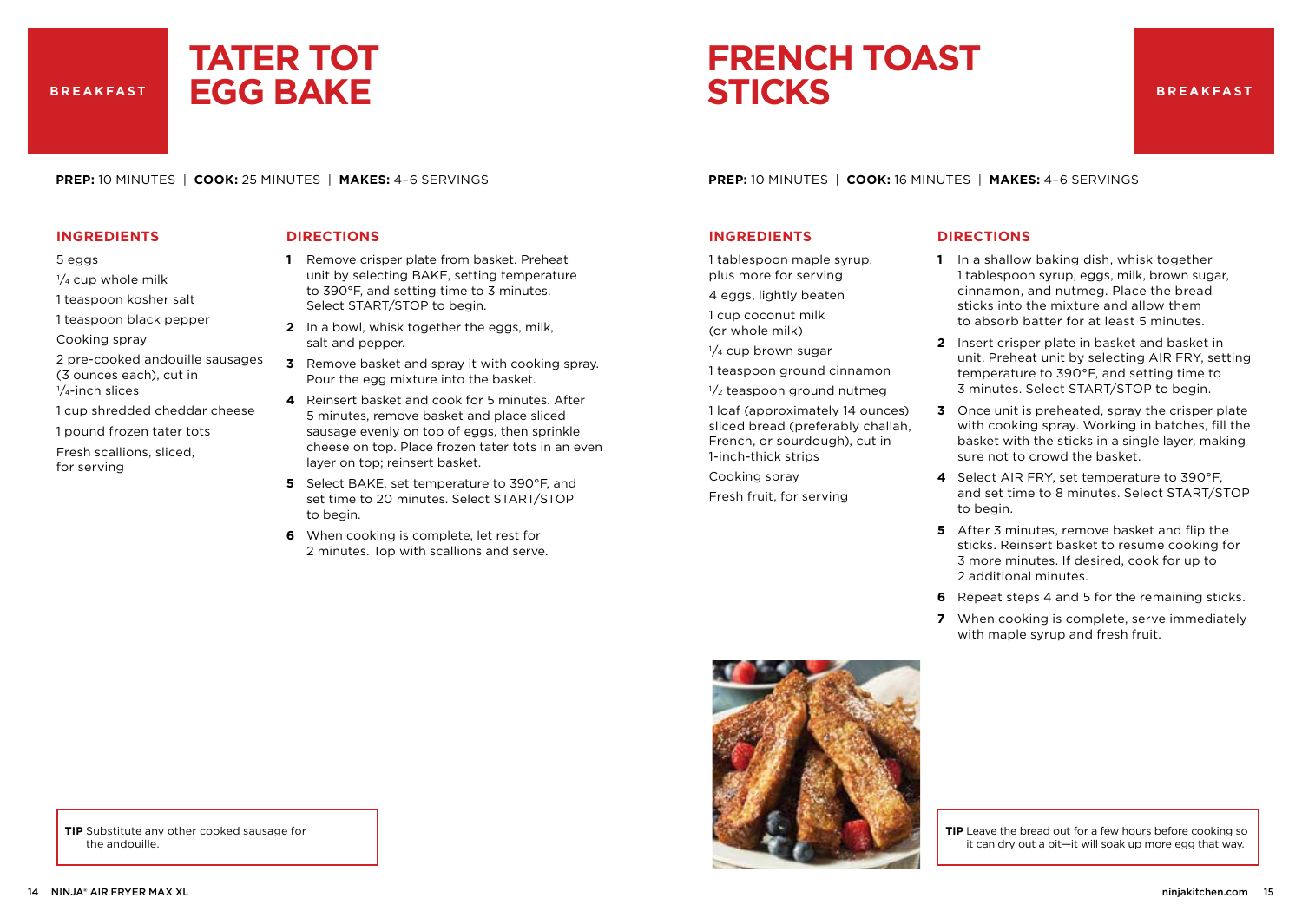**BREAKFAST**

### **TATER TOT EGG BAKE**

### **FRENCH TOAST STICKS**

**PREP:** 10 MINUTES | **COOK:** 25 MINUTES | **MAKES:** 4–6 SERVINGS

#### **INGREDIENTS**

#### 5 eggs

- $\frac{1}{4}$  cup whole milk
- 1 teaspoon kosher salt
- 1 teaspoon black pepper
- Cooking spray
- 2 pre-cooked andouille sausages (3 ounces each), cut in 1/4-inch slices
- 1 cup shredded cheddar cheese
- 
- 1 pound frozen tater tots Fresh scallions, sliced,
- for serving

#### **DIRECTIONS**

- **1** Remove crisper plate from basket. Preheat unit by selecting BAKE, setting temperature to 390°F, and setting time to 3 minutes. Select START/STOP to begin.
- **2** In a bowl, whisk together the eggs, milk, salt and pepper.
- **3** Remove basket and spray it with cooking spray. Pour the egg mixture into the basket.
- **4** Reinsert basket and cook for 5 minutes. After 5 minutes, remove basket and place sliced sausage evenly on top of eggs, then sprinkle cheese on top. Place frozen tater tots in an even layer on top; reinsert basket.
- **5** Select BAKE, set temperature to 390°F, and set time to 20 minutes. Select START/STOP to begin.
- **6** When cooking is complete, let rest for 2 minutes. Top with scallions and serve.

**PREP:** 10 MINUTES | **COOK:** 16 MINUTES | **MAKES:** 4–6 SERVINGS

#### **INGREDIENTS**

1 tablespoon maple syrup, plus more for serving

- 4 eggs, lightly beaten
- 1 cup coconut milk (or whole milk)
- $1/4$  cup brown sugar
- 1 teaspoon ground cinnamon
- $1/2$  teaspoon ground nutmeg
- 1 loaf (approximately 14 ounces) sliced bread (preferably challah, French, or sourdough), cut in 1-inch-thick strips
- Cooking spray
- Fresh fruit, for serving

#### **DIRECTIONS**

- **1** In a shallow baking dish, whisk together 1 tablespoon syrup, eggs, milk, brown sugar, cinnamon, and nutmeg. Place the bread sticks into the mixture and allow them to absorb batter for at least 5 minutes.
- **2** Insert crisper plate in basket and basket in unit. Preheat unit by selecting AIR FRY, setting temperature to 390°F, and setting time to 3 minutes. Select START/STOP to begin.
- **3** Once unit is preheated, spray the crisper plate with cooking spray. Working in batches, fill the basket with the sticks in a single layer, making sure not to crowd the basket.
- **4** Select AIR FRY, set temperature to 390°F, and set time to 8 minutes. Select START/STOP to begin.
- **5** After 3 minutes, remove basket and flip the sticks. Reinsert basket to resume cooking for 3 more minutes. If desired, cook for up to 2 additional minutes.
- **6** Repeat steps 4 and 5 for the remaining sticks.
- **7** When cooking is complete, serve immediately with maple syrup and fresh fruit.



**TIP** Leave the bread out for a few hours before cooking so it can dry out a bit—it will soak up more egg that way.

**TIP** Substitute any other cooked sausage for the andouille.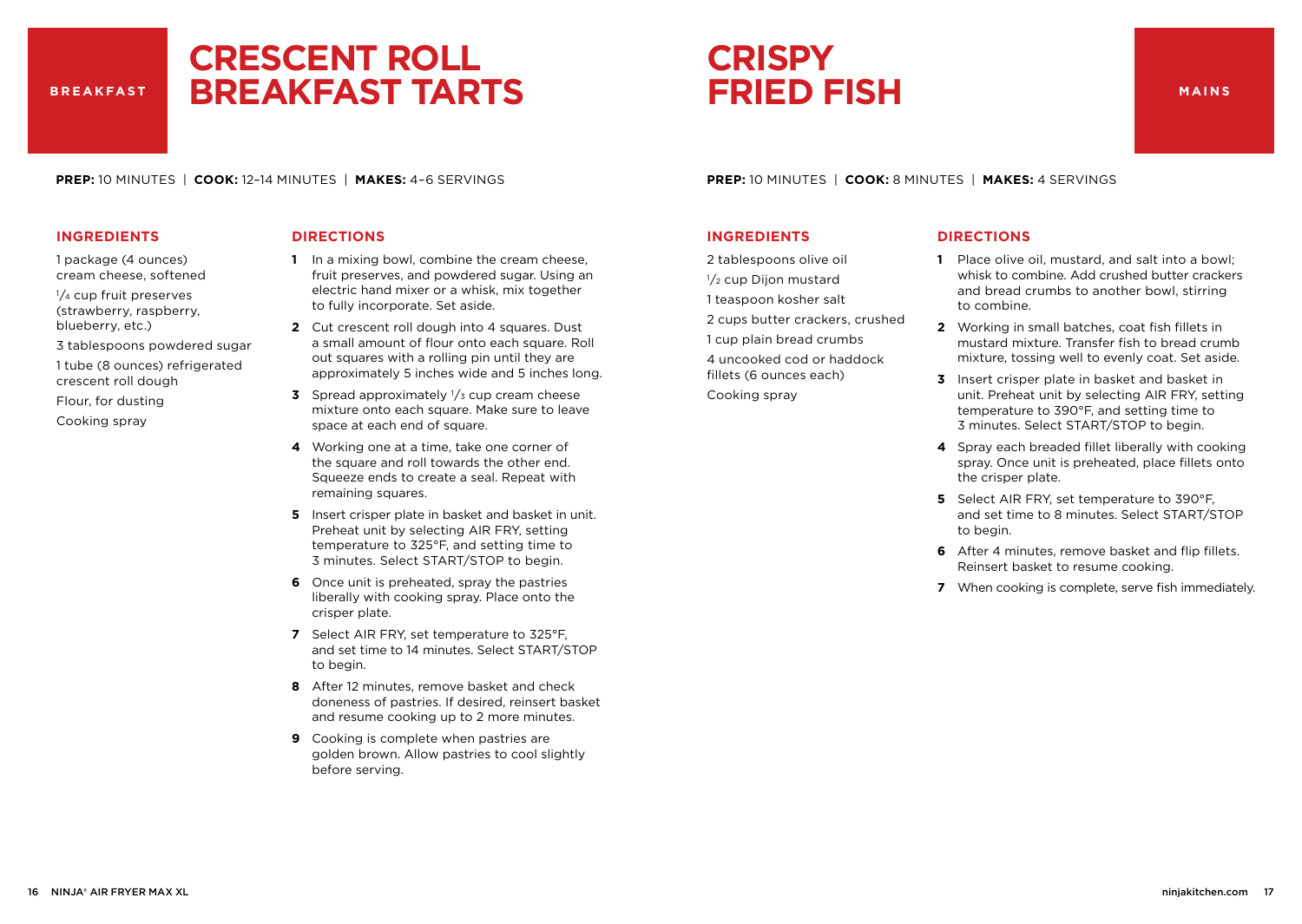#### **BREAKFAST**

### **CRESCENT ROLL BREAKFAST TARTS**

### **CRISPY FRIED FISH**

**PREP:** 10 MINUTES | **COOK:** 12–14 MINUTES | **MAKES:** 4–6 SERVINGS

#### **INGREDIENTS**

1 package (4 ounces) cream cheese, softened

1/<sub>4</sub> cup fruit preserves (strawberry, raspberry, blueberry, etc.)

3 tablespoons powdered sugar

1 tube (8 ounces) refrigerated crescent roll dough

Flour, for dusting

Cooking spray

#### **DIRECTIONS**

- **1** In a mixing bowl, combine the cream cheese, fruit preserves, and powdered sugar. Using an electric hand mixer or a whisk, mix together to fully incorporate. Set aside.
- **2** Cut crescent roll dough into 4 squares. Dust a small amount of flour onto each square. Roll out squares with a rolling pin until they are approximately 5 inches wide and 5 inches long.
- **3** Spread approximately <sup>1</sup>/<sub>3</sub> cup cream cheese mixture onto each square. Make sure to leave space at each end of square.
- **4** Working one at a time, take one corner of the square and roll towards the other end. Squeeze ends to create a seal. Repeat with remaining squares.
- **5** Insert crisper plate in basket and basket in unit. Preheat unit by selecting AIR FRY, setting temperature to 325°F, and setting time to 3 minutes. Select START/STOP to begin.
- **6** Once unit is preheated, spray the pastries liberally with cooking spray. Place onto the crisper plate.
- **7** Select AIR FRY, set temperature to 325°F, and set time to 14 minutes. Select START/STOP to begin.
- **8** After 12 minutes, remove basket and check doneness of pastries. If desired, reinsert basket and resume cooking up to 2 more minutes.
- **9** Cooking is complete when pastries are golden brown. Allow pastries to cool slightly before serving.

#### **PREP:** 10 MINUTES | **COOK:** 8 MINUTES | **MAKES:** 4 SERVINGS

#### **INGREDIENTS**

- 2 tablespoons olive oil
- 1/2 cup Dijon mustard
- 1 teaspoon kosher salt
- 2 cups butter crackers, crushed

1 cup plain bread crumbs

4 uncooked cod or haddock fillets (6 ounces each)

Cooking spray

- **1** Place olive oil, mustard, and salt into a bowl; whisk to combine. Add crushed butter crackers and bread crumbs to another bowl, stirring to combine.
- **2** Working in small batches, coat fish fillets in mustard mixture. Transfer fish to bread crumb mixture, tossing well to evenly coat. Set aside.
- **3** Insert crisper plate in basket and basket in unit. Preheat unit by selecting AIR FRY, setting temperature to 390°F, and setting time to 3 minutes. Select START/STOP to begin.
- **4** Spray each breaded fillet liberally with cooking spray. Once unit is preheated, place fillets onto the crisper plate.
- **5** Select AIR FRY, set temperature to 390°F, and set time to 8 minutes. Select START/STOP to begin.
- **6** After 4 minutes, remove basket and flip fillets. Reinsert basket to resume cooking.
- **7** When cooking is complete, serve fish immediately.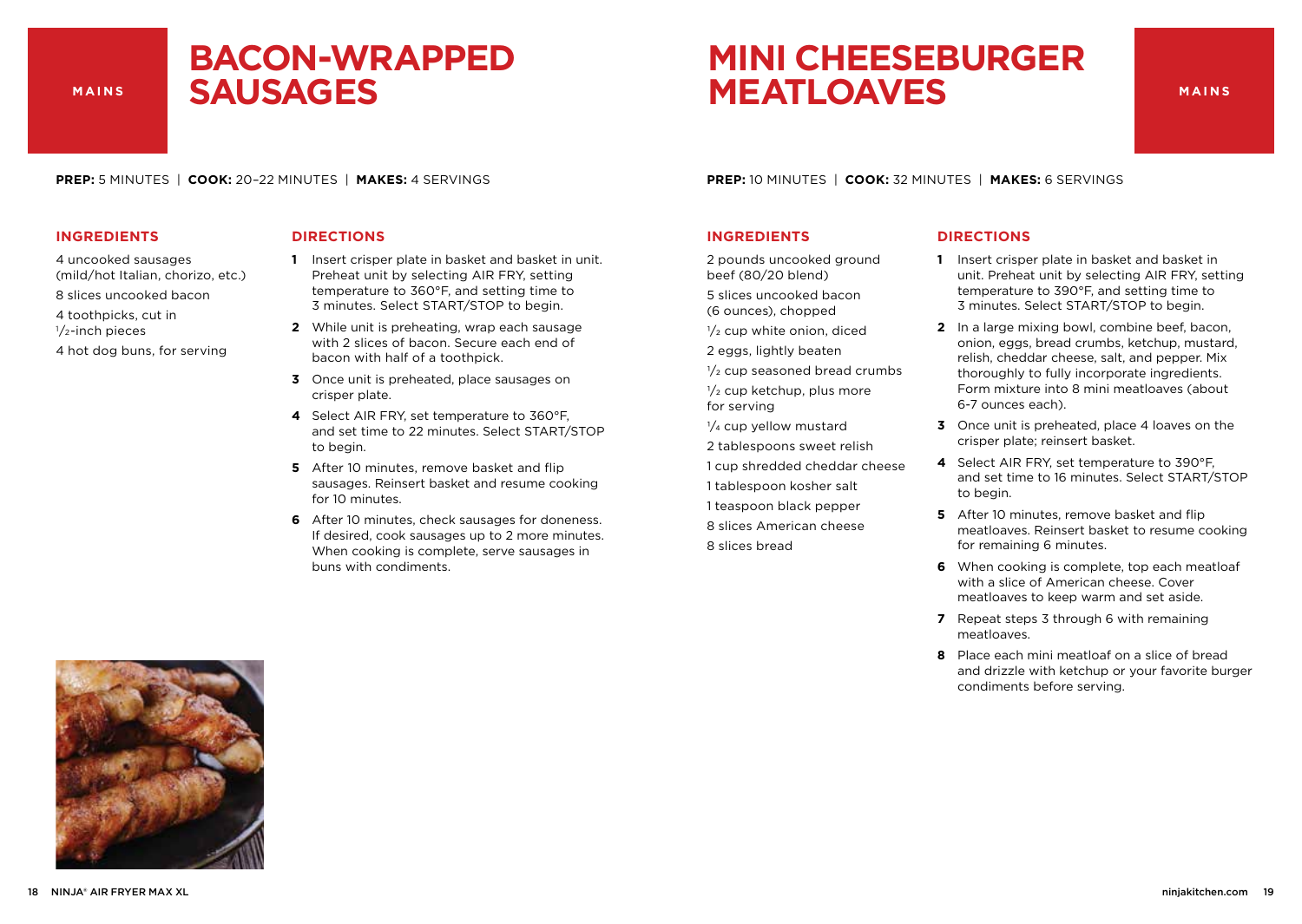### **BACON-WRAPPED SAUSAGES**

### **MINI CHEESEBURGER MEATLOAVES**

**MAINS**

**PREP:** 5 MINUTES | **COOK:** 20–22 MINUTES | **MAKES:** 4 SERVINGS

#### **INGREDIENTS**

- 4 uncooked sausages (mild/hot Italian, chorizo, etc.)
- 8 slices uncooked bacon
- 4 toothpicks, cut in
- 1/<sub>2</sub>-inch pieces
- 4 hot dog buns, for serving

#### **DIRECTIONS**

- **1** Insert crisper plate in basket and basket in unit. Preheat unit by selecting AIR FRY, setting temperature to 360°F, and setting time to 3 minutes. Select START/STOP to begin.
- **2** While unit is preheating, wrap each sausage with 2 slices of bacon. Secure each end of bacon with half of a toothpick.
- **3** Once unit is preheated, place sausages on crisper plate.
- **4** Select AIR FRY, set temperature to 360°F, and set time to 22 minutes. Select START/STOP to begin.
- **5** After 10 minutes, remove basket and flip sausages. Reinsert basket and resume cooking for 10 minutes.
- **6** After 10 minutes, check sausages for doneness. If desired, cook sausages up to 2 more minutes. When cooking is complete, serve sausages in buns with condiments.

**PREP:** 10 MINUTES | **COOK:** 32 MINUTES | **MAKES:** 6 SERVINGS

#### **INGREDIENTS**

2 pounds uncooked ground beef (80/20 blend)

5 slices uncooked bacon (6 ounces), chopped

- $1/2$  cup white onion, diced
- 2 eggs, lightly beaten
- $\frac{1}{2}$  cup seasoned bread crumbs
- $\frac{1}{2}$  cup ketchup, plus more for serving
- $\frac{1}{4}$  cup yellow mustard
- 2 tablespoons sweet relish
- 1 cup shredded cheddar cheese
- 1 tablespoon kosher salt 1 teaspoon black pepper 8 slices American cheese
- 8 slices bread

- **1** Insert crisper plate in basket and basket in unit. Preheat unit by selecting AIR FRY, setting temperature to 390°F, and setting time to 3 minutes. Select START/STOP to begin.
- **2** In a large mixing bowl, combine beef, bacon, onion, eggs, bread crumbs, ketchup, mustard, relish, cheddar cheese, salt, and pepper. Mix thoroughly to fully incorporate ingredients. Form mixture into 8 mini meatloaves (about 6-7 ounces each).
- **3** Once unit is preheated, place 4 loaves on the crisper plate; reinsert basket.
- **4** Select AIR FRY, set temperature to 390°F, and set time to 16 minutes. Select START/STOP to begin.
- **5** After 10 minutes, remove basket and flip meatloaves. Reinsert basket to resume cooking for remaining 6 minutes.
- **6** When cooking is complete, top each meatloaf with a slice of American cheese. Cover meatloaves to keep warm and set aside.
- **7** Repeat steps 3 through 6 with remaining meatloaves.
- **8** Place each mini meatloaf on a slice of bread and drizzle with ketchup or your favorite burger condiments before serving.

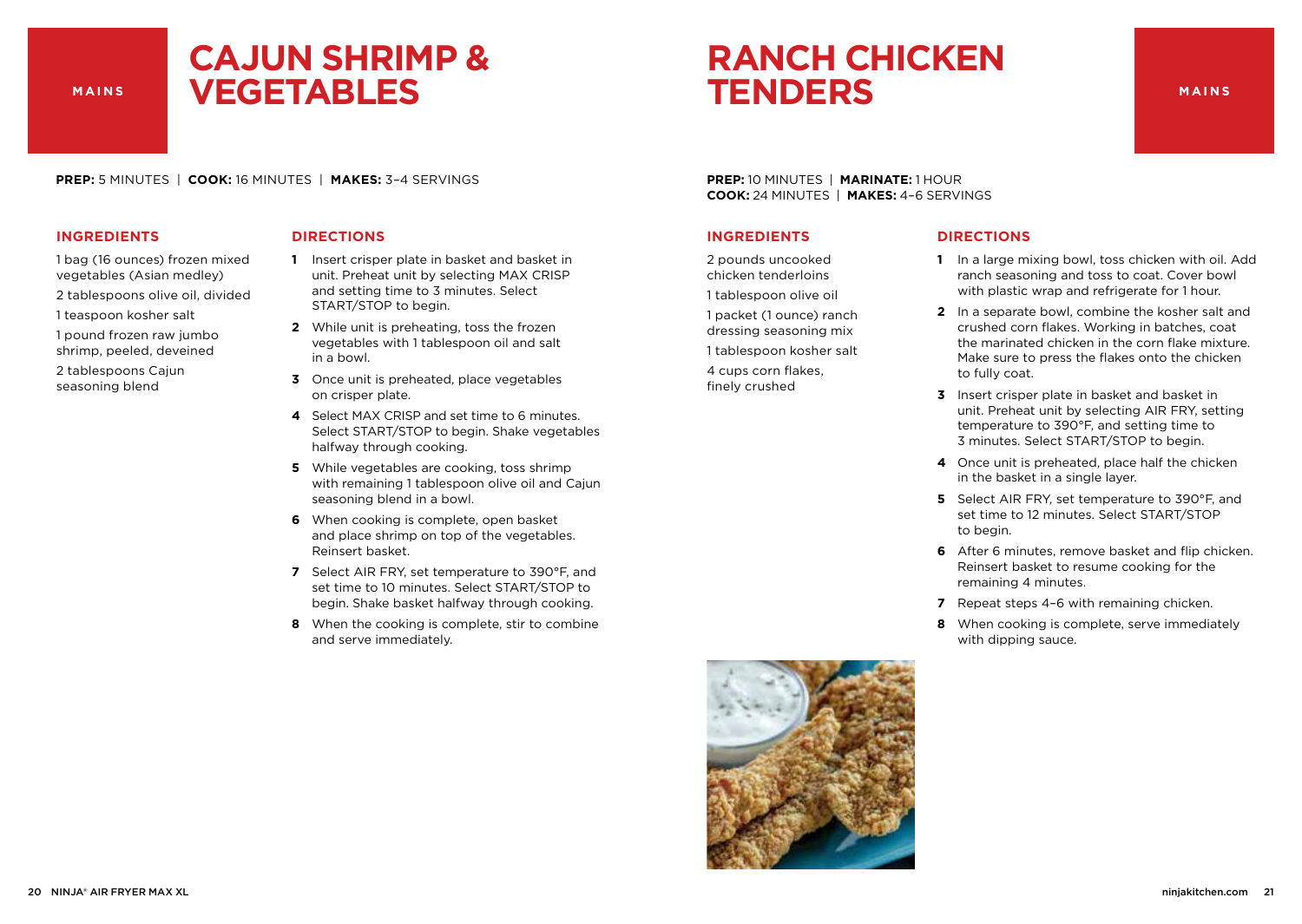### **CAJUN SHRIMP & VEGETABLES**

### **RANCH CHICKEN TENDERS**

**PREP:** 5 MINUTES | **COOK:** 16 MINUTES | **MAKES:** 3–4 SERVINGS

#### **INGREDIENTS**

- 1 bag (16 ounces) frozen mixed vegetables (Asian medley)
- 2 tablespoons olive oil, divided
- 1 teaspoon kosher salt
- 1 pound frozen raw jumbo shrimp, peeled, deveined
- 2 tablespoons Cajun seasoning blend

#### **DIRECTIONS**

- **1** Insert crisper plate in basket and basket in unit. Preheat unit by selecting MAX CRISP and setting time to 3 minutes. Select START/STOP to begin.
- **2** While unit is preheating, toss the frozen vegetables with 1 tablespoon oil and salt in a bowl.
- **3** Once unit is preheated, place vegetables on crisper plate.
- **4** Select MAX CRISP and set time to 6 minutes. Select START/STOP to begin. Shake vegetables halfway through cooking.
- **5** While vegetables are cooking, toss shrimp with remaining 1 tablespoon olive oil and Cajun seasoning blend in a bowl.
- **6** When cooking is complete, open basket and place shrimp on top of the vegetables. Reinsert basket.
- **7** Select AIR FRY, set temperature to 390°F, and set time to 10 minutes. Select START/STOP to begin. Shake basket halfway through cooking.
- **8** When the cooking is complete, stir to combine and serve immediately.

**PREP:** 10 MINUTES | **MARINATE:** 1 HOUR **COOK:** 24 MINUTES | **MAKES:** 4–6 SERVINGS

#### **INGREDIENTS**

2 pounds uncooked chicken tenderloins

1 tablespoon olive oil

finely crushed

1 packet (1 ounce) ranch dressing seasoning mix 1 tablespoon kosher salt 4 cups corn flakes,

- **1** In a large mixing bowl, toss chicken with oil. Add ranch seasoning and toss to coat. Cover bowl with plastic wrap and refrigerate for 1 hour.
- **2** In a separate bowl, combine the kosher salt and crushed corn flakes. Working in batches, coat the marinated chicken in the corn flake mixture. Make sure to press the flakes onto the chicken to fully coat.
- **3** Insert crisper plate in basket and basket in unit. Preheat unit by selecting AIR FRY, setting temperature to 390°F, and setting time to 3 minutes. Select START/STOP to begin.
- **4** Once unit is preheated, place half the chicken in the basket in a single layer.
- **5** Select AIR FRY, set temperature to 390°F, and set time to 12 minutes. Select START/STOP to begin.
- **6** After 6 minutes, remove basket and flip chicken. Reinsert basket to resume cooking for the remaining 4 minutes.
- **7** Repeat steps 4–6 with remaining chicken.
- **8** When cooking is complete, serve immediately with dipping sauce.

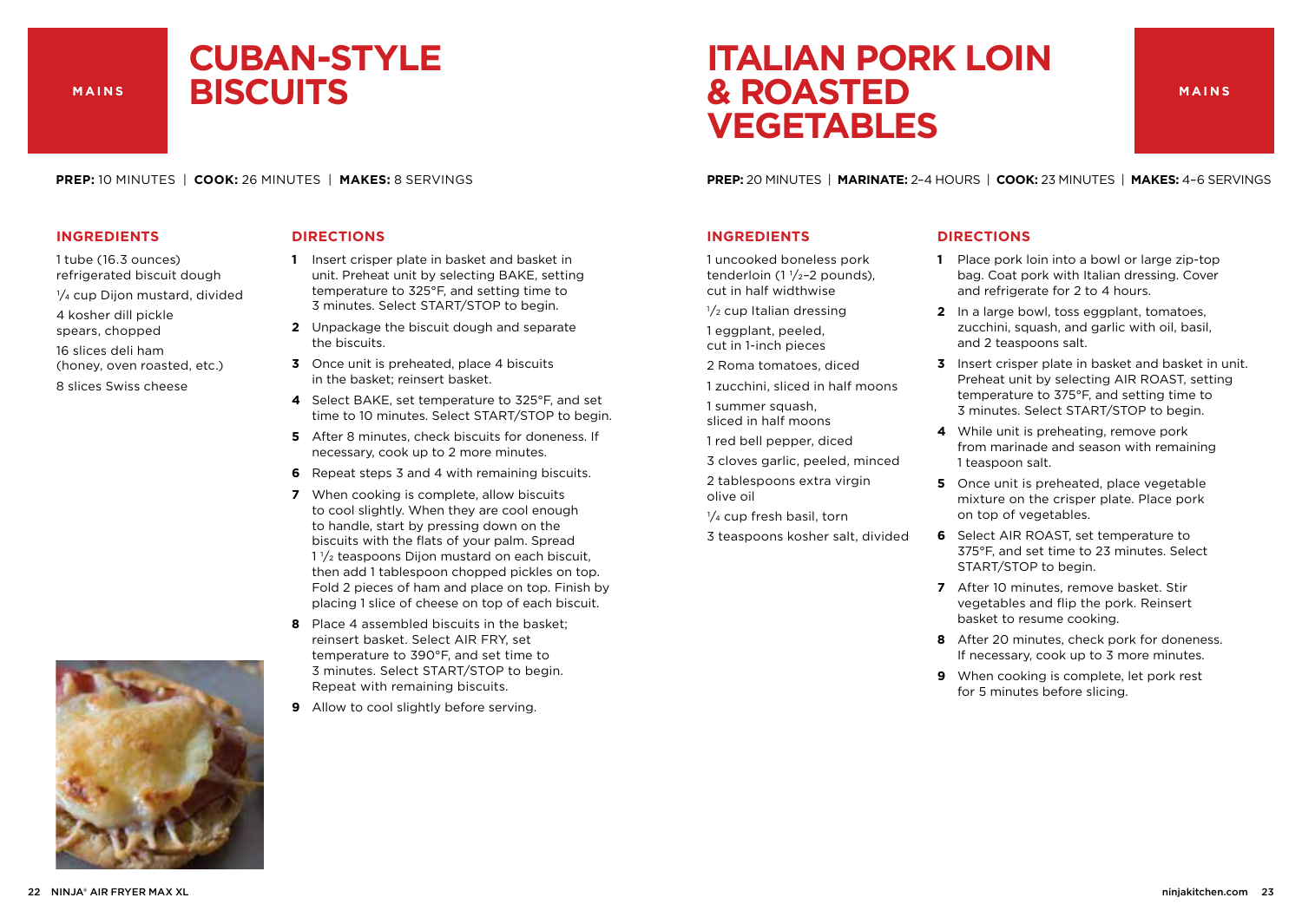### **CUBAN-STYLE BISCUITS**

**PREP:** 10 MINUTES | **COOK:** 26 MINUTES | **MAKES:** 8 SERVINGS

#### **INGREDIENTS**

- 1 tube (16.3 ounces) refrigerated biscuit dough
- 1/4 cup Dijon mustard, divided
- 4 kosher dill pickle
- spears, chopped
- 16 slices deli ham
- (honey, oven roasted, etc.)
- 8 slices Swiss cheese

#### **DIRECTIONS**

- **1** Insert crisper plate in basket and basket in unit. Preheat unit by selecting BAKE, setting temperature to 325°F, and setting time to 3 minutes. Select START/STOP to begin.
- **2** Unpackage the biscuit dough and separate the biscuits.
- **3** Once unit is preheated, place 4 biscuits in the basket; reinsert basket.
- **4** Select BAKE, set temperature to 325°F, and set time to 10 minutes. Select START/STOP to begin.
- **5** After 8 minutes, check biscuits for doneness. If necessary, cook up to 2 more minutes.
- **6** Repeat steps 3 and 4 with remaining biscuits.
- **7** When cooking is complete, allow biscuits to cool slightly. When they are cool enough to handle, start by pressing down on the biscuits with the flats of your palm. Spread  $1\frac{1}{2}$  teaspoons Dijon mustard on each biscuit. then add 1 tablespoon chopped pickles on top. Fold 2 pieces of ham and place on top. Finish by placing 1 slice of cheese on top of each biscuit.
- **8** Place 4 assembled biscuits in the basket; reinsert basket. Select AIR FRY, set temperature to 390°F, and set time to 3 minutes. Select START/STOP to begin. Repeat with remaining biscuits.
- **9** Allow to cool slightly before serving.

### **ITALIAN PORK LOIN & ROASTED VEGETABLES**

**MAINS**

**PREP:** 20 MINUTES | **MARINATE:** 2–4 HOURS | **COOK:** 23 MINUTES | **MAKES:** 4–6 SERVINGS

#### **INGREDIENTS**

1 uncooked boneless pork tenderloin  $(1 \frac{1}{2} - 2$  pounds), cut in half widthwise

- $1/2$  cup Italian dressing
- 1 eggplant, peeled, cut in 1-inch pieces
- 2 Roma tomatoes, diced
- 1 zucchini, sliced in half moons

1 summer squash, sliced in half moons

- 1 red bell pepper, diced
- 3 cloves garlic, peeled, minced
- 2 tablespoons extra virgin olive oil
- $\frac{1}{4}$  cup fresh basil, torn
- 3 teaspoons kosher salt, divided

- **1** Place pork loin into a bowl or large zip-top bag. Coat pork with Italian dressing. Cover and refrigerate for 2 to 4 hours.
- **2** In a large bowl, toss eggplant, tomatoes, zucchini, squash, and garlic with oil, basil, and 2 teaspoons salt.
- **3** Insert crisper plate in basket and basket in unit. Preheat unit by selecting AIR ROAST, setting temperature to 375°F, and setting time to 3 minutes. Select START/STOP to begin.
- **4** While unit is preheating, remove pork from marinade and season with remaining 1 teaspoon salt.
- **5** Once unit is preheated, place vegetable mixture on the crisper plate. Place pork on top of vegetables.
- **6** Select AIR ROAST, set temperature to 375°F, and set time to 23 minutes. Select START/STOP to begin.
- **7** After 10 minutes, remove basket. Stir vegetables and flip the pork. Reinsert basket to resume cooking.
- **8** After 20 minutes, check pork for doneness. If necessary, cook up to 3 more minutes.
- **9** When cooking is complete, let pork rest for 5 minutes before slicing.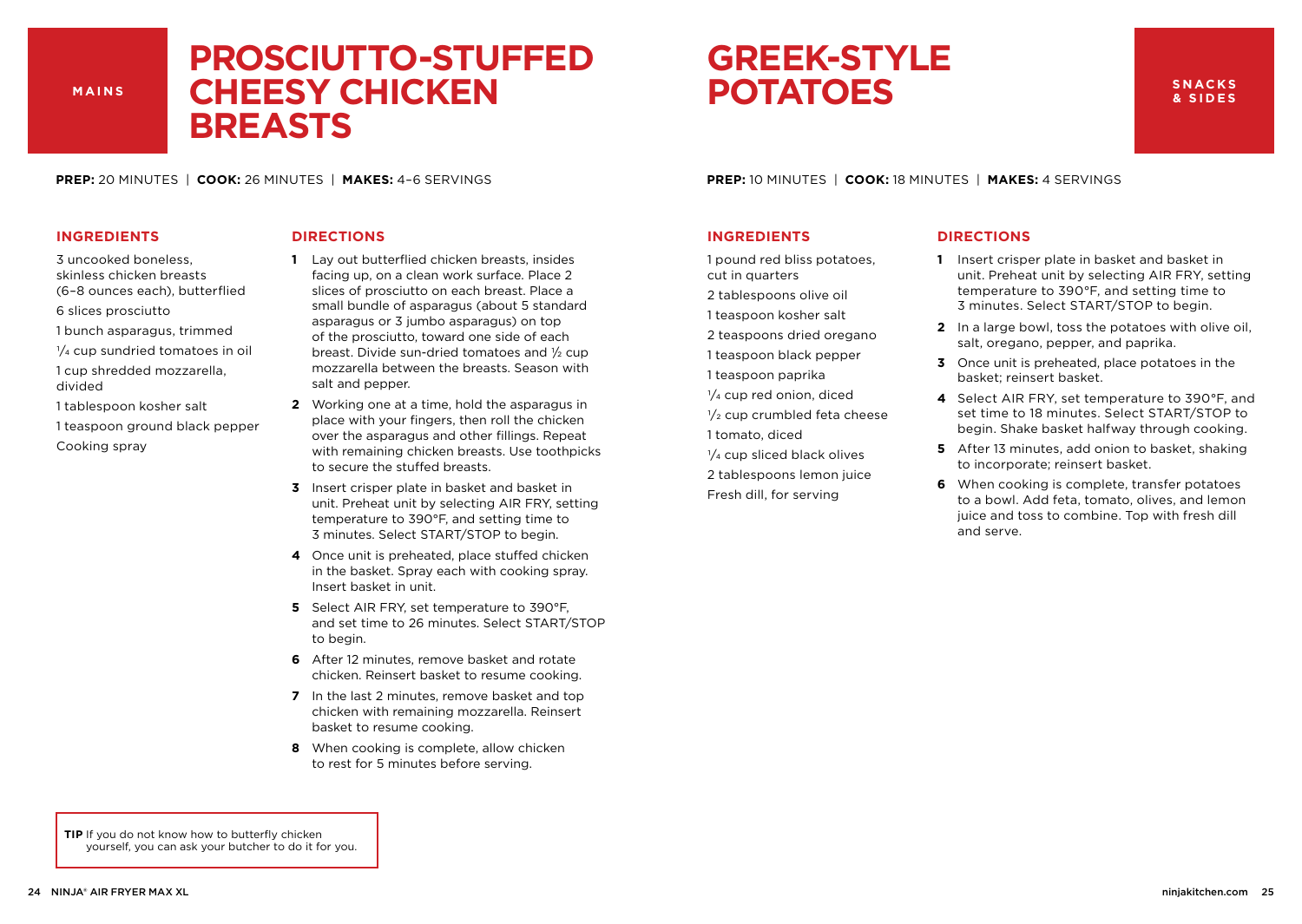### **PROSCIUTTO-STUFFED CHEESY CHICKEN BREASTS**

### **GREEK-STYLE POTATOES**

**PREP:** 20 MINUTES | **COOK:** 26 MINUTES | **MAKES:** 4–6 SERVINGS

#### **INGREDIENTS**

- 3 uncooked boneless, skinless chicken breasts (6–8 ounces each), butterflied
- 6 slices prosciutto
- 1 bunch asparagus, trimmed
- 1/4 cup sundried tomatoes in oil 1 cup shredded mozzarella,
- divided 1 tablespoon kosher salt
- 1 teaspoon ground black pepper Cooking spray

#### **DIRECTIONS**

- **1** Lay out butterflied chicken breasts, insides facing up, on a clean work surface. Place 2 slices of prosciutto on each breast. Place a small bundle of asparagus (about 5 standard asparagus or 3 jumbo asparagus) on top of the prosciutto, toward one side of each breast. Divide sun-dried tomatoes and  $\frac{1}{2}$  cup mozzarella between the breasts. Season with salt and pepper.
- **2** Working one at a time, hold the asparagus in place with your fingers, then roll the chicken over the asparagus and other fillings. Repeat with remaining chicken breasts. Use toothpicks to secure the stuffed breasts.
- **3** Insert crisper plate in basket and basket in unit. Preheat unit by selecting AIR FRY, setting temperature to 390°F, and setting time to 3 minutes. Select START/STOP to begin.
- **4** Once unit is preheated, place stuffed chicken in the basket. Spray each with cooking spray. Insert basket in unit.
- **5** Select AIR FRY, set temperature to 390°F, and set time to 26 minutes. Select START/STOP to begin.
- **6** After 12 minutes, remove basket and rotate chicken. Reinsert basket to resume cooking.
- **7** In the last 2 minutes, remove basket and top chicken with remaining mozzarella. Reinsert basket to resume cooking.
- **8** When cooking is complete, allow chicken to rest for 5 minutes before serving.

**PREP:** 10 MINUTES | **COOK:** 18 MINUTES | **MAKES:** 4 SERVINGS

#### **INGREDIENTS**

1 pound red bliss potatoes, cut in quarters

- 2 tablespoons olive oil
- 1 teaspoon kosher salt
- 2 teaspoons dried oregano
- 1 teaspoon black pepper
- 1 teaspoon paprika
- $\frac{1}{4}$  cup red onion, diced
- $\frac{1}{2}$  cup crumbled feta cheese 1 tomato, diced
- $\frac{1}{4}$  cup sliced black olives
- 2 tablespoons lemon juice Fresh dill, for serving

#### **DIRECTIONS**

- **1** Insert crisper plate in basket and basket in unit. Preheat unit by selecting AIR FRY, setting temperature to 390°F, and setting time to 3 minutes. Select START/STOP to begin.
- **2** In a large bowl, toss the potatoes with olive oil, salt, oregano, pepper, and paprika.
- **3** Once unit is preheated, place potatoes in the basket; reinsert basket.
- **4** Select AIR FRY, set temperature to 390°F, and set time to 18 minutes. Select START/STOP to begin. Shake basket halfway through cooking.
- **5** After 13 minutes, add onion to basket, shaking to incorporate; reinsert basket.
- **6** When cooking is complete, transfer potatoes to a bowl. Add feta, tomato, olives, and lemon juice and toss to combine. Top with fresh dill and serve.

**TIP** If you do not know how to butterfly chicken yourself, you can ask your butcher to do it for you.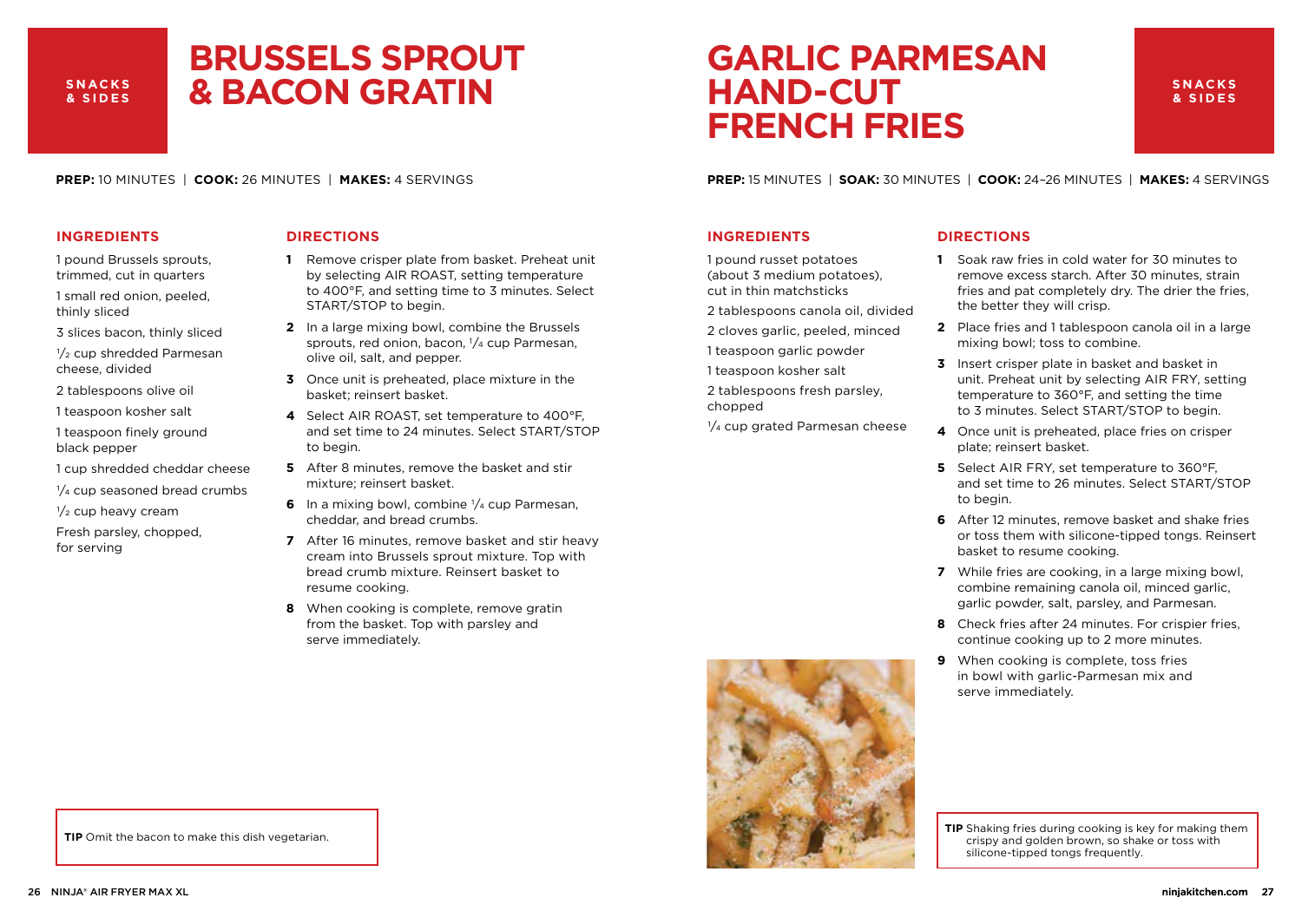#### **SNACKS & SIDES**

### **BRUSSELS SPROUT & BACON GRATIN**

**PREP:** 10 MINUTES | **COOK:** 26 MINUTES | **MAKES:** 4 SERVINGS

#### **INGREDIENTS**

- 1 pound Brussels sprouts, trimmed, cut in quarters
- 1 small red onion, peeled, thinly sliced
- 3 slices bacon, thinly sliced
- 1/2 cup shredded Parmesan cheese, divided
- 2 tablespoons olive oil
- 1 teaspoon kosher salt
- 1 teaspoon finely ground black pepper
- 1 cup shredded cheddar cheese
- $\frac{1}{4}$  cup seasoned bread crumbs
- $\frac{1}{2}$  cup heavy cream
- Fresh parsley, chopped, for serving

#### **DIRECTIONS**

- **1** Remove crisper plate from basket. Preheat unit by selecting AIR ROAST, setting temperature to 400°F, and setting time to 3 minutes. Select START/STOP to begin.
- **2** In a large mixing bowl, combine the Brussels sprouts, red onion, bacon, 1/4 cup Parmesan, olive oil, salt, and pepper.
- **3** Once unit is preheated, place mixture in the basket; reinsert basket.
- **4** Select AIR ROAST, set temperature to 400°F, and set time to 24 minutes. Select START/STOP to begin.
- **5** After 8 minutes, remove the basket and stir mixture; reinsert basket.
- **6** In a mixing bowl, combine  $\frac{1}{4}$  cup Parmesan, cheddar, and bread crumbs.
- **7** After 16 minutes, remove basket and stir heavy cream into Brussels sprout mixture. Top with bread crumb mixture. Reinsert basket to resume cooking.
- **8** When cooking is complete, remove gratin from the basket. Top with parsley and serve immediately.

#### **TIP** Omit the bacon to make this dish vegetarian.

**PREP:** 15 MINUTES | **SOAK:** 30 MINUTES | **COOK:** 24–26 MINUTES | **MAKES:** 4 SERVINGS

**GARLIC PARMESAN** 

#### **INGREDIENTS**

1 pound russet potatoes (about 3 medium potatoes), cut in thin matchsticks

**HAND-CUT**

**FRENCH FRIES**

- 2 tablespoons canola oil, divided
- 2 cloves garlic, peeled, minced
- 1 teaspoon garlic powder
- 1 teaspoon kosher salt
- 2 tablespoons fresh parsley, chopped
- $1/4$  cup grated Parmesan cheese

#### **DIRECTIONS**

- **1** Soak raw fries in cold water for 30 minutes to remove excess starch. After 30 minutes, strain fries and pat completely dry. The drier the fries, the better they will crisp.
- **2** Place fries and 1 tablespoon canola oil in a large mixing bowl; toss to combine.
- **3** Insert crisper plate in basket and basket in unit. Preheat unit by selecting AIR FRY, setting temperature to 360°F, and setting the time to 3 minutes. Select START/STOP to begin.
- **4** Once unit is preheated, place fries on crisper plate; reinsert basket.
- **5** Select AIR FRY, set temperature to 360°F, and set time to 26 minutes. Select START/STOP to begin.
- **6** After 12 minutes, remove basket and shake fries or toss them with silicone-tipped tongs. Reinsert basket to resume cooking.
- **7** While fries are cooking, in a large mixing bowl, combine remaining canola oil, minced garlic, garlic powder, salt, parsley, and Parmesan.
- **8** Check fries after 24 minutes. For crispier fries, continue cooking up to 2 more minutes.
- **9** When cooking is complete, toss fries in bowl with garlic-Parmesan mix and serve immediately.

**TIP** Shaking fries during cooking is key for making them crispy and golden brown, so shake or toss with silicone-tipped tongs frequently.





#### **SNACKS & SIDES**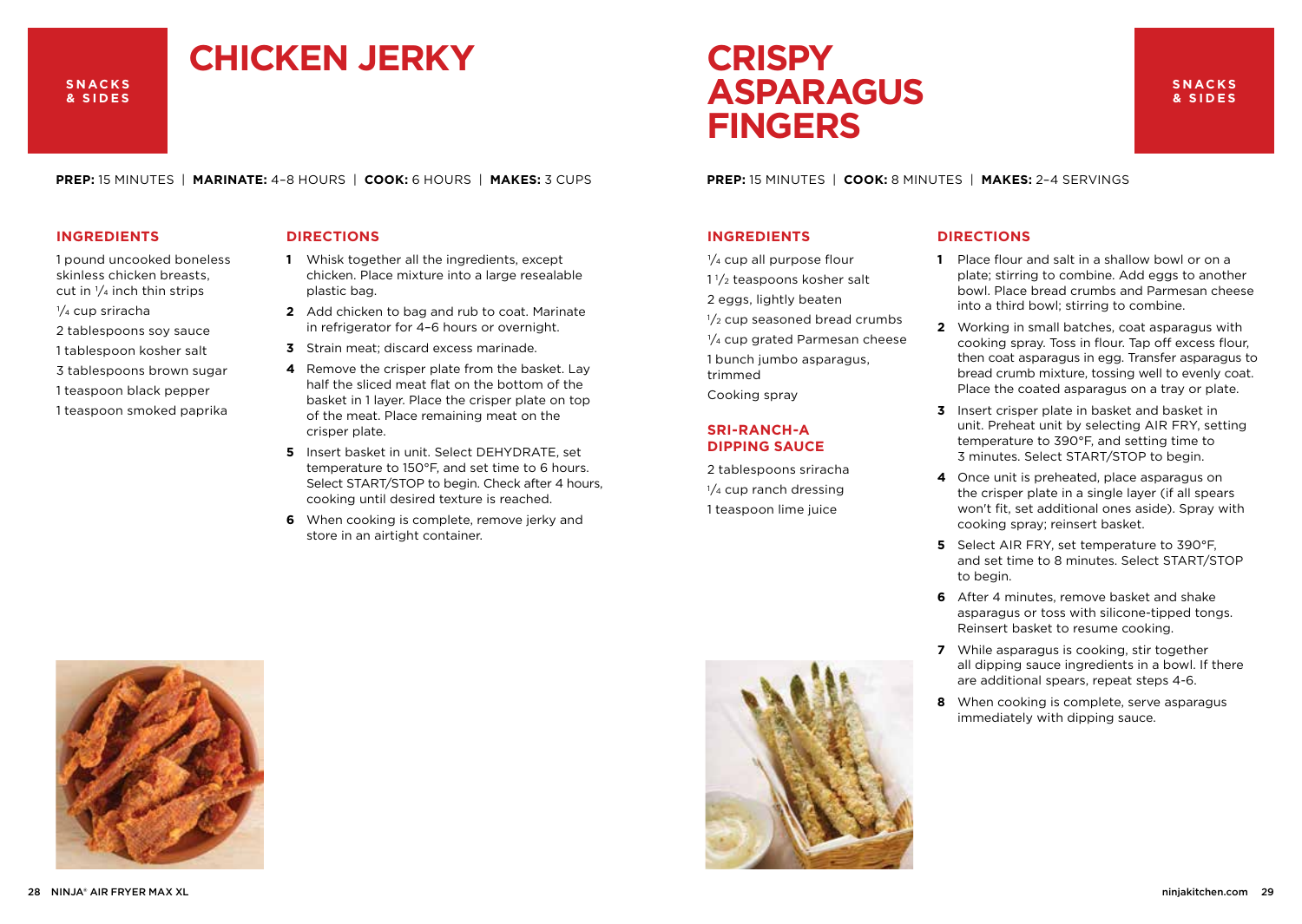#### **SNACKS & SIDES**

## **CHICKEN JERKY**

**PREP:** 15 MINUTES | **MARINATE:** 4–8 HOURS | **COOK:** 6 HOURS | **MAKES:** 3 CUPS

#### **INGREDIENTS**

- 1 pound uncooked boneless skinless chicken breasts, cut in  $\frac{1}{4}$  inch thin strips
- 1/4 cup sriracha
- 2 tablespoons soy sauce
- 1 tablespoon kosher salt
- 3 tablespoons brown sugar
- 1 teaspoon black pepper
- 1 teaspoon smoked paprika

#### **DIRECTIONS**

- **1** Whisk together all the ingredients, except chicken. Place mixture into a large resealable plastic bag.
- **2** Add chicken to bag and rub to coat. Marinate in refrigerator for 4–6 hours or overnight.
- **3** Strain meat; discard excess marinade.
- **4** Remove the crisper plate from the basket. Lay half the sliced meat flat on the bottom of the basket in 1 layer. Place the crisper plate on top of the meat. Place remaining meat on the crisper plate.
- **5** Insert basket in unit. Select DEHYDRATE, set temperature to 150°F, and set time to 6 hours. Select START/STOP to begin. Check after 4 hours, cooking until desired texture is reached.
- **6** When cooking is complete, remove jerky and store in an airtight container.

**PREP:** 15 MINUTES | **COOK:** 8 MINUTES | **MAKES:** 2–4 SERVINGS

#### **INGREDIENTS**

- $\frac{1}{4}$  cup all purpose flour
- 1 1/2 teaspoons kosher salt
- 2 eggs, lightly beaten

**CRISPY**

**FINGERS**

**ASPARAGUS**

- $1/2$  cup seasoned bread crumbs
- $1/4$  cup grated Parmesan cheese 1 bunch jumbo asparagus, trimmed
- Cooking spray

#### **SRI-RANCH-A DIPPING SAUCE**

2 tablespoons sriracha  $\frac{1}{4}$  cup ranch dressing 1 teaspoon lime juice

#### **DIRECTIONS**

**1** Place flour and salt in a shallow bowl or on a plate; stirring to combine. Add eggs to another bowl. Place bread crumbs and Parmesan cheese into a third bowl; stirring to combine.

**SNACKS & SIDES**

- **2** Working in small batches, coat asparagus with cooking spray. Toss in flour. Tap off excess flour, then coat asparagus in egg. Transfer asparagus to bread crumb mixture, tossing well to evenly coat. Place the coated asparagus on a tray or plate.
- **3** Insert crisper plate in basket and basket in unit. Preheat unit by selecting AIR FRY, setting temperature to 390°F, and setting time to 3 minutes. Select START/STOP to begin.
- **4** Once unit is preheated, place asparagus on the crisper plate in a single layer (if all spears won't fit, set additional ones aside). Spray with cooking spray; reinsert basket.
- **5** Select AIR FRY, set temperature to 390°F, and set time to 8 minutes. Select START/STOP to begin.
- **6** After 4 minutes, remove basket and shake asparagus or toss with silicone-tipped tongs. Reinsert basket to resume cooking.
- **7** While asparagus is cooking, stir together all dipping sauce ingredients in a bowl. If there are additional spears, repeat steps 4-6.
- **8** When cooking is complete, serve asparagus immediately with dipping sauce.



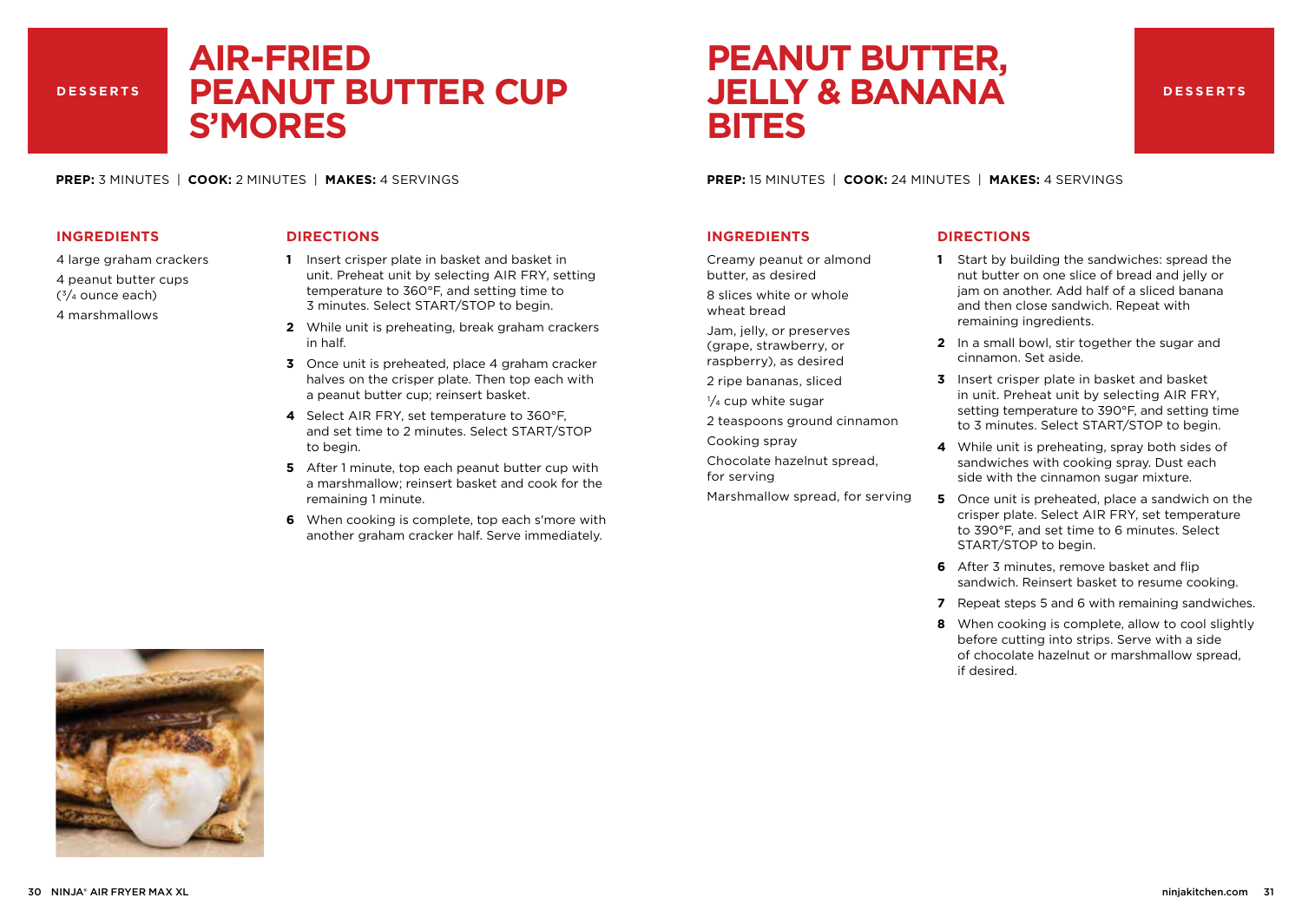#### **DESSERTS**

### **AIR-FRIED PEANUT BUTTER CUP S'MORES**

**PREP:** 3 MINUTES | **COOK:** 2 MINUTES | **MAKES:** 4 SERVINGS

#### **INGREDIENTS**

- 4 large graham crackers
- 4 peanut butter cups
- $(3/4)$  ounce each)
- 4 marshmallows

#### **DIRECTIONS**

- **1** Insert crisper plate in basket and basket in unit. Preheat unit by selecting AIR FRY, setting temperature to 360°F, and setting time to 3 minutes. Select START/STOP to begin.
- **2** While unit is preheating, break graham crackers in half.
- **3** Once unit is preheated, place 4 graham cracker halves on the crisper plate. Then top each with a peanut butter cup; reinsert basket.
- **4** Select AIR FRY, set temperature to 360°F, and set time to 2 minutes. Select START/STOP to begin.
- **5** After 1 minute, top each peanut butter cup with a marshmallow; reinsert basket and cook for the remaining 1 minute.
- **6** When cooking is complete, top each s'more with another graham cracker half. Serve immediately.

**PEANUT BUTTER, JELLY & BANANA BITES**

#### **DESSERTS**

**PREP:** 15 MINUTES | **COOK:** 24 MINUTES | **MAKES:** 4 SERVINGS

#### **INGREDIENTS**

Creamy peanut or almond butter, as desired

8 slices white or whole wheat bread

Jam, jelly, or preserves (grape, strawberry, or raspberry), as desired

2 ripe bananas, sliced

 $\frac{1}{4}$  cup white sugar

2 teaspoons ground cinnamon

Cooking spray

- Chocolate hazelnut spread, for serving
- Marshmallow spread, for serving

- **1** Start by building the sandwiches: spread the nut butter on one slice of bread and jelly or jam on another. Add half of a sliced banana and then close sandwich. Repeat with remaining ingredients.
- **2** In a small bowl, stir together the sugar and cinnamon. Set aside.
- **3** Insert crisper plate in basket and basket in unit. Preheat unit by selecting AIR FRY, setting temperature to 390°F, and setting time to 3 minutes. Select START/STOP to begin.
- **4** While unit is preheating, spray both sides of sandwiches with cooking spray. Dust each side with the cinnamon sugar mixture.
- **5** Once unit is preheated, place a sandwich on the crisper plate. Select AIR FRY, set temperature to 390°F, and set time to 6 minutes. Select START/STOP to begin.
- **6** After 3 minutes, remove basket and flip sandwich. Reinsert basket to resume cooking.
- **7** Repeat steps 5 and 6 with remaining sandwiches.
- **8** When cooking is complete, allow to cool slightly before cutting into strips. Serve with a side of chocolate hazelnut or marshmallow spread, if desired.